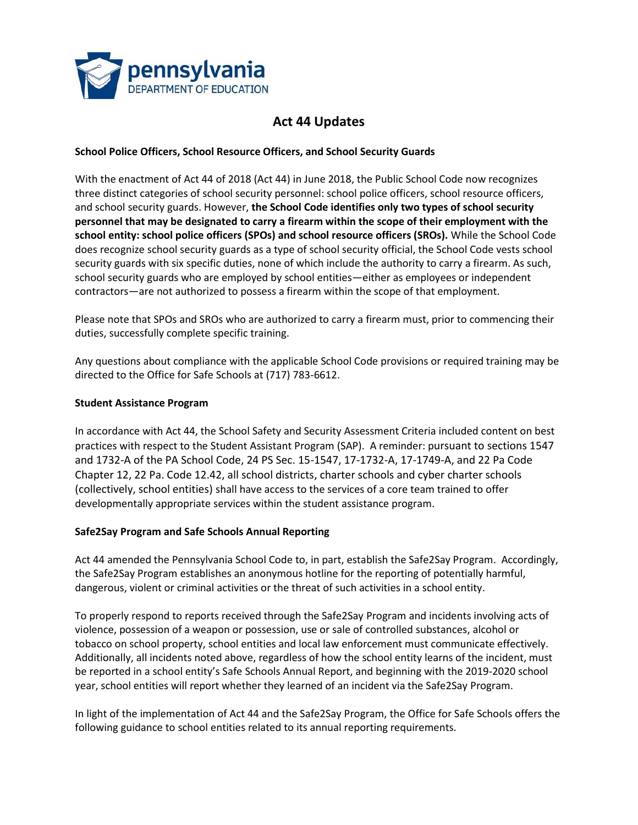

# **Act 44 Updates**

### **School Police Officers, School Resource Officers, and School Security Guards**

With the enactment of Act 44 of 2018 (Act 44) in June 2018, the Public School Code now recognizes three distinct categories of school security personnel: school police officers, school resource officers, and school security guards. However, **the School Code identifies only two types of school security personnel that may be designated to carry a firearm within the scope of their employment with the school entity: school police officers (SPOs) and school resource officers (SROs).** While the School Code does recognize school security guards as a type of school security official, the School Code vests school security guards with six specific duties, none of which include the authority to carry a firearm. As such, school security guards who are employed by school entities—either as employees or independent contractors—are not authorized to possess a firearm within the scope of that employment.

Please note that SPOs and SROs who are authorized to carry a firearm must, prior to commencing their duties, successfully complete specific training.

Any questions about compliance with the applicable School Code provisions or required training may be directed to the Office for Safe Schools at (717) 783-6612.

#### **Student Assistance Program**

In accordance with Act 44, the School Safety and Security Assessment Criteria included content on best practices with respect to the Student Assistant Program (SAP). A reminder: pursuant to sections 1547 and 1732-A of the PA School Code, 24 PS Sec. 15-1547, 17-1732-A, 17-1749-A, and 22 Pa Code Chapter 12, 22 Pa. Code 12.42, all school districts, charter schools and cyber charter schools (collectively, school entities) shall have access to the services of a core team trained to offer developmentally appropriate services within the student assistance program.

#### **Safe2Say Program and Safe Schools Annual Reporting**

Act 44 amended the Pennsylvania School Code to, in part, establish the Safe2Say Program. Accordingly, the Safe2Say Program establishes an anonymous hotline for the reporting of potentially harmful, dangerous, violent or criminal activities or the threat of such activities in a school entity.

To properly respond to reports received through the Safe2Say Program and incidents involving acts of violence, possession of a weapon or possession, use or sale of controlled substances, alcohol or tobacco on school property, school entities and local law enforcement must communicate effectively. Additionally, all incidents noted above, regardless of how the school entity learns of the incident, must be reported in a school entity's Safe Schools Annual Report, and beginning with the 2019-2020 school year, school entities will report whether they learned of an incident via the Safe2Say Program.

In light of the implementation of Act 44 and the Safe2Say Program, the Office for Safe Schools offers the following guidance to school entities related to its annual reporting requirements.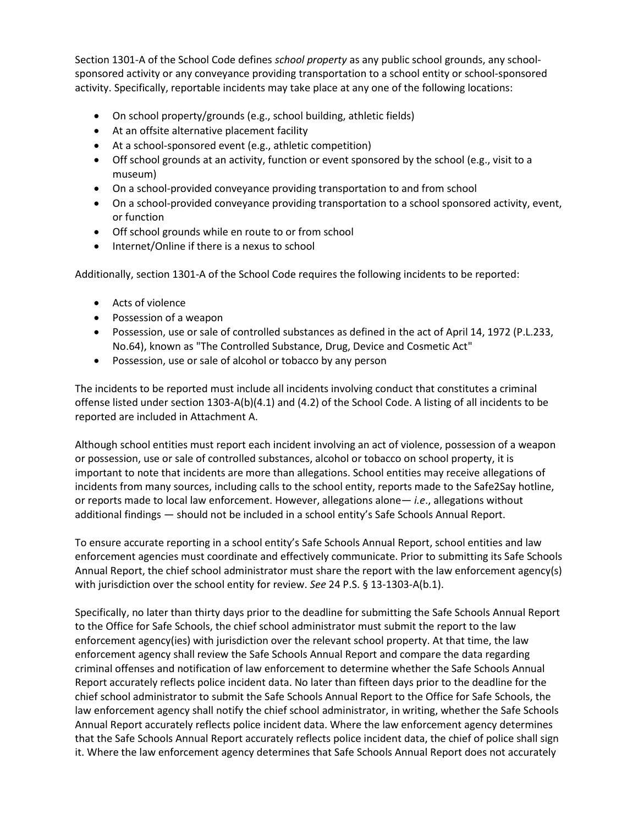Section 1301-A of the School Code defines *school property* as any public school grounds, any schoolsponsored activity or any conveyance providing transportation to a school entity or school-sponsored activity. Specifically, reportable incidents may take place at any one of the following locations:

- On school property/grounds (e.g., school building, athletic fields)
- At an offsite alternative placement facility
- At a school-sponsored event (e.g., athletic competition)
- Off school grounds at an activity, function or event sponsored by the school (e.g., visit to a museum)
- On a school-provided conveyance providing transportation to and from school
- On a school-provided conveyance providing transportation to a school sponsored activity, event, or function
- Off school grounds while en route to or from school
- Internet/Online if there is a nexus to school

Additionally, section 1301-A of the School Code requires the following incidents to be reported:

- Acts of violence
- Possession of a weapon
- Possession, use or sale of controlled substances as defined in the act of April 14, 1972 (P.L.233, No.64), known as "The Controlled Substance, Drug, Device and Cosmetic Act"
- Possession, use or sale of alcohol or tobacco by any person

The incidents to be reported must include all incidents involving conduct that constitutes a criminal offense listed under section 1303-A(b)(4.1) and (4.2) of the School Code. A listing of all incidents to be reported are included in Attachment A.

Although school entities must report each incident involving an act of violence, possession of a weapon or possession, use or sale of controlled substances, alcohol or tobacco on school property, it is important to note that incidents are more than allegations. School entities may receive allegations of incidents from many sources, including calls to the school entity, reports made to the Safe2Say hotline, or reports made to local law enforcement. However, allegations alone— *i.e*., allegations without additional findings — should not be included in a school entity's Safe Schools Annual Report.

To ensure accurate reporting in a school entity's Safe Schools Annual Report, school entities and law enforcement agencies must coordinate and effectively communicate. Prior to submitting its Safe Schools Annual Report, the chief school administrator must share the report with the law enforcement agency(s) with jurisdiction over the school entity for review. *See* 24 P.S. § 13-1303-A(b.1).

Specifically, no later than thirty days prior to the deadline for submitting the Safe Schools Annual Report to the Office for Safe Schools, the chief school administrator must submit the report to the law enforcement agency(ies) with jurisdiction over the relevant school property. At that time, the law enforcement agency shall review the Safe Schools Annual Report and compare the data regarding criminal offenses and notification of law enforcement to determine whether the Safe Schools Annual Report accurately reflects police incident data. No later than fifteen days prior to the deadline for the chief school administrator to submit the Safe Schools Annual Report to the Office for Safe Schools, the law enforcement agency shall notify the chief school administrator, in writing, whether the Safe Schools Annual Report accurately reflects police incident data. Where the law enforcement agency determines that the Safe Schools Annual Report accurately reflects police incident data, the chief of police shall sign it. Where the law enforcement agency determines that Safe Schools Annual Report does not accurately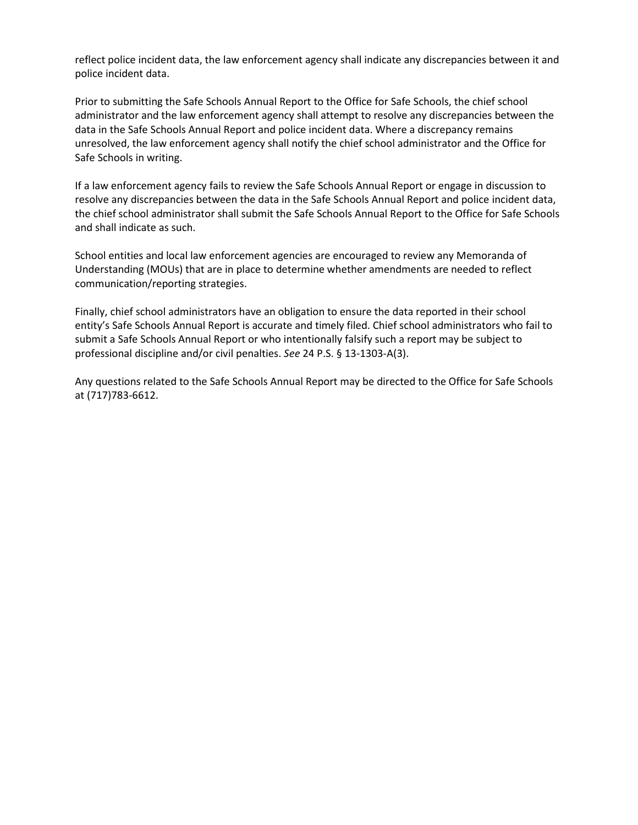reflect police incident data, the law enforcement agency shall indicate any discrepancies between it and police incident data.

Prior to submitting the Safe Schools Annual Report to the Office for Safe Schools, the chief school administrator and the law enforcement agency shall attempt to resolve any discrepancies between the data in the Safe Schools Annual Report and police incident data. Where a discrepancy remains unresolved, the law enforcement agency shall notify the chief school administrator and the Office for Safe Schools in writing.

If a law enforcement agency fails to review the Safe Schools Annual Report or engage in discussion to resolve any discrepancies between the data in the Safe Schools Annual Report and police incident data, the chief school administrator shall submit the Safe Schools Annual Report to the Office for Safe Schools and shall indicate as such.

School entities and local law enforcement agencies are encouraged to review any Memoranda of Understanding (MOUs) that are in place to determine whether amendments are needed to reflect communication/reporting strategies.

Finally, chief school administrators have an obligation to ensure the data reported in their school entity's Safe Schools Annual Report is accurate and timely filed. Chief school administrators who fail to submit a Safe Schools Annual Report or who intentionally falsify such a report may be subject to professional discipline and/or civil penalties. *See* 24 P.S. § 13-1303-A(3).

Any questions related to the Safe Schools Annual Report may be directed to the Office for Safe Schools at (717)783-6612.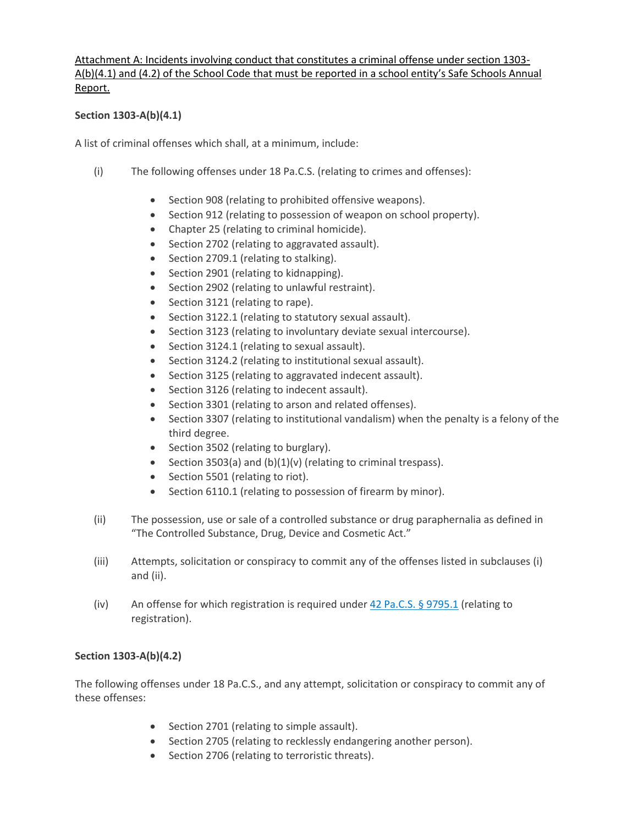## Attachment A: Incidents involving conduct that constitutes a criminal offense under section 1303- A(b)(4.1) and (4.2) of the School Code that must be reported in a school entity's Safe Schools Annual Report.

## **Section 1303-A(b)(4.1)**

A list of criminal offenses which shall, at a minimum, include:

- (i) The following offenses under 18 Pa.C.S. (relating to crimes and offenses):
	- Section 908 (relating to prohibited offensive weapons).
	- Section 912 (relating to possession of weapon on school property).
	- Chapter 25 (relating to criminal homicide).
	- Section 2702 (relating to aggravated assault).
	- Section 2709.1 (relating to stalking).
	- Section 2901 (relating to kidnapping).
	- Section 2902 (relating to unlawful restraint).
	- Section 3121 (relating to rape).
	- Section 3122.1 (relating to statutory sexual assault).
	- Section 3123 (relating to involuntary deviate sexual intercourse).
	- Section 3124.1 (relating to sexual assault).
	- Section 3124.2 (relating to institutional sexual assault).
	- Section 3125 (relating to aggravated indecent assault).
	- Section 3126 (relating to indecent assault).
	- Section 3301 (relating to arson and related offenses).
	- Section 3307 (relating to institutional vandalism) when the penalty is a felony of the third degree.
	- Section 3502 (relating to burglary).
	- Section 3503(a) and (b)(1)(v) (relating to criminal trespass).
	- Section 5501 (relating to riot).
	- Section 6110.1 (relating to possession of firearm by minor).
- (ii) The possession, use or sale of a controlled substance or drug paraphernalia as defined in "The Controlled Substance, Drug, Device and Cosmetic Act."
- (iii) Attempts, solicitation or conspiracy to commit any of the offenses listed in subclauses (i) and (ii).
- (iv) An offense for which registration is required under 42 Pa.C.S. § [9795.1](https://advance.lexis.com/document/documentslider/?pdmfid=1000516&crid=64e1fffd-effb-4268-bd42-df415a84062d&pdistocdocslideraccess=true&config=&pddocfullpath=%2Fshared%2Fdocument%2Fstatutes-legislation%2Furn%3AcontentItem%3A5DPM-DMS1-DYB7-T1FR-00000-00&pdcomponentid=237266&pdtocnodeidentifier=AABAATAABAABAAUAAD&ecomp=v311k&prid=d4eca6d9-f25c-4ebd-b214-92e7a232f67a) (relating to registration).

#### **Section 1303-A(b)(4.2)**

The following offenses under 18 Pa.C.S., and any attempt, solicitation or conspiracy to commit any of these offenses:

- Section 2701 (relating to simple assault).
- Section 2705 (relating to recklessly endangering another person).
- Section 2706 (relating to terroristic threats).